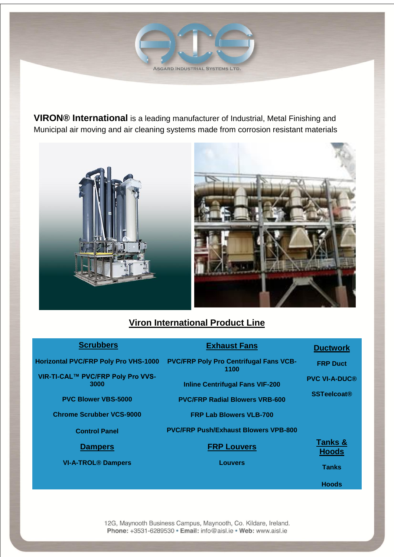ASGARD INDUSTRIAL SYSTEMS LTD.

**VIRON® International** is a leading manufacturer of Industrial, Metal Finishing and Municipal air moving and air cleaning systems made from corrosion resistant materials





# **Viron International Product Line**

| <b>Scrubbers</b>                            | <b>Exhaust Fans</b>                                   | <b>Ductwork</b>         |
|---------------------------------------------|-------------------------------------------------------|-------------------------|
| <b>Horizontal PVC/FRP Poly Pro VHS-1000</b> | <b>PVC/FRP Poly Pro Centrifugal Fans VCB-</b><br>1100 | <b>FRP Duct</b>         |
| VIR-TI-CAL™ PVC/FRP Poly Pro VVS-<br>3000   | <b>Inline Centrifugal Fans VIF-200</b>                | <b>PVC VI-A-DUC®</b>    |
| <b>PVC Blower VBS-5000</b>                  | <b>PVC/FRP Radial Blowers VRB-600</b>                 | <b>SSTeelcoat®</b>      |
| <b>Chrome Scrubber VCS-9000</b>             | <b>FRP Lab Blowers VLB-700</b>                        |                         |
| <b>Control Panel</b>                        | <b>PVC/FRP Push/Exhaust Blowers VPB-800</b>           |                         |
| <b>Dampers</b>                              | <b>FRP Louvers</b>                                    | Tanks &<br><b>Hoods</b> |
| <b>VI-A-TROL<sup>®</sup> Dampers</b>        | <b>Louvers</b>                                        | <b>Tanks</b>            |
|                                             |                                                       | <b>Hoods</b>            |

12G, Maynooth Business Campus, Maynooth, Co. Kildare, Ireland. Phone: +3531-6289530 · Email: info@aisl.ie · Web: www.aisl.ie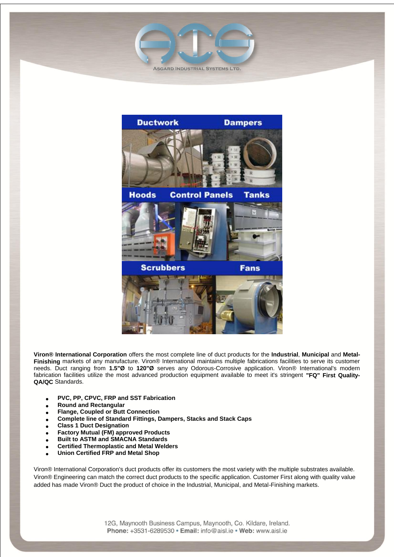



**Viron® International Corporation** offers the most complete line of duct products for the **Industrial**, **Municipal** and **Metal-Finishing** markets of any manufacture. Viron® International maintains multiple fabrications facilities to serve its customer needs. Duct ranging from **1.5"Ø** to **120"Ø** serves any Odorous-Corrosive application. Viron® International's modern fabrication facilities utilize the most advanced production equipment available to meet it's stringent **"FQ" First Quality-QA/QC** Standards.

- **PVC, PP, CPVC, FRP and SST Fabrication**
- **Round and Rectangular**
- **Flange, Coupled or Butt Connection**
- **Complete line of Standard Fittings, Dampers, Stacks and Stack Caps**
- **Class 1 Duct Designation**
- **Factory Mutual (FM) approved Products**
- **Built to ASTM and SMACNA Standards**
- **Certified Thermoplastic and Metal Welders**
- **Union Certified FRP and Metal Shop**

Viron® International Corporation's duct products offer its customers the most variety with the multiple substrates available. Viron® Engineering can match the correct duct products to the specific application. Customer First along with quality value added has made Viron® Duct the product of choice in the Industrial, Municipal, and Metal-Finishing markets.

> 12G, Maynooth Business Campus, Maynooth, Co. Kildare, Ireland. Phone: +3531-6289530 · Email: info@aisl.ie · Web: www.aisl.ie